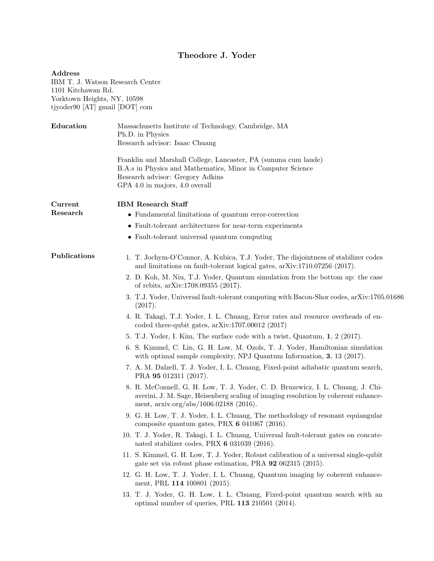## Theodore J. Yoder

## Address IBM T. J. Watson Research Center 1101 Kitchawan Rd. Yorktown Heights, NY, 10598 tjyoder90 [AT] gmail [DOT] com

| Education    | Massachusetts Institute of Technology, Cambridge, MA<br>Ph.D. in Physics<br>Research advisor: Isaac Chuang                                                                                                        |
|--------------|-------------------------------------------------------------------------------------------------------------------------------------------------------------------------------------------------------------------|
|              | Franklin and Marshall College, Lancaster, PA (summa cum laude)<br>B.A.s in Physics and Mathematics, Minor in Computer Science<br>Research advisor: Gregory Adkins<br>GPA 4.0 in majors, 4.0 overall               |
| Current      | <b>IBM</b> Research Staff                                                                                                                                                                                         |
| Research     | • Fundamental limitations of quantum error-correction                                                                                                                                                             |
|              | • Fault-tolerant architectures for near-term experiments                                                                                                                                                          |
|              | • Fault-tolerant universal quantum computing                                                                                                                                                                      |
| Publications | 1. T. Jochym-O'Connor, A. Kubica, T.J. Yoder, The disjointness of stabilizer codes<br>and limitations on fault-tolerant logical gates, arXiv:1710.07256 (2017).                                                   |
|              | 2. D. Koh, M. Niu, T.J. Yoder, Quantum simulation from the bottom up: the case<br>of rebits, arXiv:1708.09355 (2017).                                                                                             |
|              | 3. T.J. Yoder, Universal fault-tolerant computing with Bacon-Shor codes, arXiv:1705.01686<br>(2017).                                                                                                              |
|              | 4. R. Takagi, T.J. Yoder, I. L. Chuang, Error rates and resource overheads of en-<br>coded three-qubit gates, $arXiv:1707.00012$ (2017)                                                                           |
|              | 5. T.J. Yoder, I. Kim, The surface code with a twist, Quantum, 1, 2 (2017).                                                                                                                                       |
|              | 6. S. Kimmel, C. Lin, G. H. Low, M. Ozols, T. J. Yoder, Hamiltonian simulation<br>with optimal sample complexity, NPJ Quantum Information, 3, 13 (2017).                                                          |
|              | 7. A. M. Dalzell, T. J. Yoder, I. L. Chuang, Fixed-point adiabatic quantum search,<br>PRA 95 012311 (2017).                                                                                                       |
|              | 8. R. McConnell, G. H. Low, T. J. Yoder, C. D. Bruzewicz, I. L. Chuang, J. Chi-<br>averini, J. M. Sage, Heisenberg scaling of imaging resolution by coherent enhance-<br>ment, $arxiv.org/abs/1606.02188$ (2016). |
|              | 9. G. H. Low, T. J. Yoder, I. L. Chuang, The methodology of resonant equiangular<br>composite quantum gates, PRX $6041067$ (2016).                                                                                |
|              | 10. T. J. Yoder, R. Takagi, I. L. Chuang, Universal fault-tolerant gates on concate-<br>nated stabilizer codes, PRX $6\,031039\,(2016)$ .                                                                         |
|              | 11. S. Kimmel, G. H. Low, T. J. Yoder, Robust calibration of a universal single-qubit<br>gate set via robust phase estimation, PRA 92 062315 (2015).                                                              |
|              | 12. G. H. Low, T. J. Yoder, I. L. Chuang, Quantum imaging by coherent enhance-<br>ment, PRL 114 100801 (2015).                                                                                                    |
|              | 13. T. J. Yoder, G. H. Low, I. L. Chuang, Fixed-point quantum search with an<br>optimal number of queries, PRL 113 210501 (2014).                                                                                 |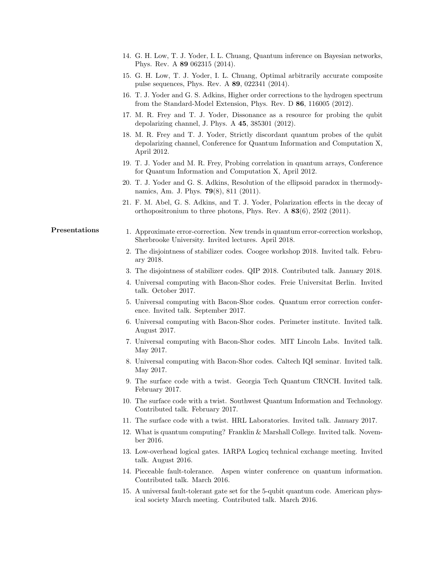- 14. G. H. Low, T. J. Yoder, I. L. Chuang, Quantum inference on Bayesian networks, Phys. Rev. A 89 062315 (2014).
- 15. G. H. Low, T. J. Yoder, I. L. Chuang, Optimal arbitrarily accurate composite pulse sequences, Phys. Rev. A 89, 022341 (2014).
- 16. T. J. Yoder and G. S. Adkins, Higher order corrections to the hydrogen spectrum from the Standard-Model Extension, Phys. Rev. D 86, 116005 (2012).
- 17. M. R. Frey and T. J. Yoder, Dissonance as a resource for probing the qubit depolarizing channel, J. Phys. A 45, 385301 (2012).
- 18. M. R. Frey and T. J. Yoder, Strictly discordant quantum probes of the qubit depolarizing channel, Conference for Quantum Information and Computation X, April 2012.
- 19. T. J. Yoder and M. R. Frey, Probing correlation in quantum arrays, Conference for Quantum Information and Computation X, April 2012.
- 20. T. J. Yoder and G. S. Adkins, Resolution of the ellipsoid paradox in thermodynamics, Am. J. Phys. 79(8), 811 (2011).
- 21. F. M. Abel, G. S. Adkins, and T. J. Yoder, Polarization effects in the decay of orthopositronium to three photons, Phys. Rev. A 83(6), 2502 (2011).

## **Presentations** 1. Approximate error-correction. New trends in quantum error-correction workshop, Sherbrooke University. Invited lectures. April 2018.

- 2. The disjointness of stabilizer codes. Coogee workshop 2018. Invited talk. February 2018.
- 3. The disjointness of stabilizer codes. QIP 2018. Contributed talk. January 2018.
- 4. Universal computing with Bacon-Shor codes. Freie Universitat Berlin. Invited talk. October 2017.
- 5. Universal computing with Bacon-Shor codes. Quantum error correction conference. Invited talk. September 2017.
- 6. Universal computing with Bacon-Shor codes. Perimeter institute. Invited talk. August 2017.
- 7. Universal computing with Bacon-Shor codes. MIT Lincoln Labs. Invited talk. May 2017.
- 8. Universal computing with Bacon-Shor codes. Caltech IQI seminar. Invited talk. May 2017.
- 9. The surface code with a twist. Georgia Tech Quantum CRNCH. Invited talk. February 2017.
- 10. The surface code with a twist. Southwest Quantum Information and Technology. Contributed talk. February 2017.
- 11. The surface code with a twist. HRL Laboratories. Invited talk. January 2017.
- 12. What is quantum computing? Franklin & Marshall College. Invited talk. November 2016.
- 13. Low-overhead logical gates. IARPA Logicq technical exchange meeting. Invited talk. August 2016.
- 14. Pieceable fault-tolerance. Aspen winter conference on quantum information. Contributed talk. March 2016.
- 15. A universal fault-tolerant gate set for the 5-qubit quantum code. American physical society March meeting. Contributed talk. March 2016.